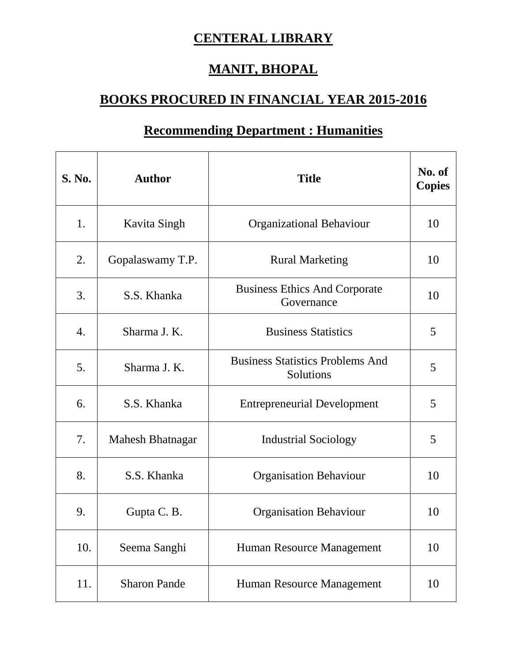## **CENTERAL LIBRARY**

## **MANIT, BHOPAL**

## **BOOKS PROCURED IN FINANCIAL YEAR 2015-2016**

## **Recommending Department : Humanities**

| <b>S. No.</b>    | <b>Author</b>       | <b>Title</b>                                         | No. of<br><b>Copies</b> |
|------------------|---------------------|------------------------------------------------------|-------------------------|
| 1.               | <b>Kavita Singh</b> | <b>Organizational Behaviour</b>                      | 10                      |
| 2.               | Gopalaswamy T.P.    | <b>Rural Marketing</b>                               | 10                      |
| 3.               | S.S. Khanka         | <b>Business Ethics And Corporate</b><br>Governance   | 10                      |
| $\overline{4}$ . | Sharma J. K.        | <b>Business Statistics</b>                           | 5                       |
| 5.               | Sharma J.K.         | <b>Business Statistics Problems And</b><br>Solutions | 5                       |
| 6.               | S.S. Khanka         | <b>Entrepreneurial Development</b>                   | 5                       |
| 7.               | Mahesh Bhatnagar    | <b>Industrial Sociology</b>                          | 5                       |
| 8.               | S.S. Khanka         | <b>Organisation Behaviour</b>                        | 10                      |
| 9.               | Gupta C. B.         | <b>Organisation Behaviour</b>                        | 10                      |
| 10.              | Seema Sanghi        | Human Resource Management                            | 10                      |
| 11.              | <b>Sharon Pande</b> | Human Resource Management                            | 10                      |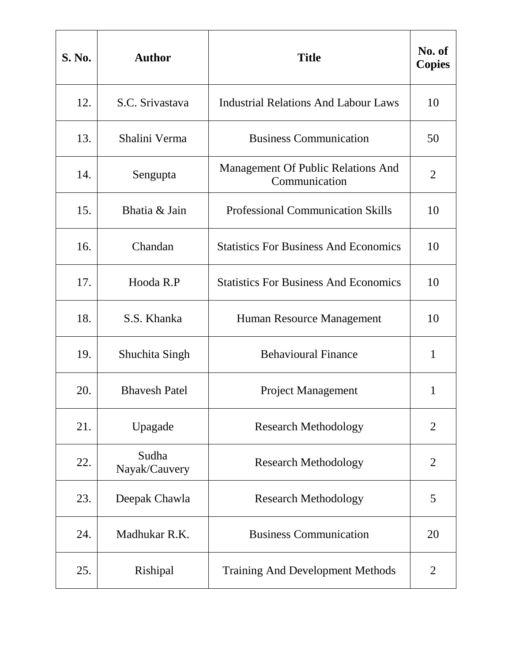| S. No. | <b>Author</b>          | <b>Title</b>                                        | No. of<br><b>Copies</b> |
|--------|------------------------|-----------------------------------------------------|-------------------------|
| 12.    | S.C. Srivastava        | <b>Industrial Relations And Labour Laws</b>         | 10                      |
| 13.    | Shalini Verma          | <b>Business Communication</b>                       | 50                      |
| 14.    | Sengupta               | Management Of Public Relations And<br>Communication | $\overline{2}$          |
| 15.    | Bhatia & Jain          | <b>Professional Communication Skills</b>            | 10                      |
| 16.    | Chandan                | <b>Statistics For Business And Economics</b>        | 10                      |
| 17.    | Hooda R.P              | <b>Statistics For Business And Economics</b>        | 10                      |
| 18.    | S.S. Khanka            | Human Resource Management                           | 10                      |
| 19.    | Shuchita Singh         | <b>Behavioural Finance</b>                          | $\mathbf{1}$            |
| 20.    | <b>Bhavesh Patel</b>   | <b>Project Management</b>                           | 1                       |
| 21.    | Upagade                | <b>Research Methodology</b>                         | $\overline{2}$          |
| 22.    | Sudha<br>Nayak/Cauvery | <b>Research Methodology</b>                         | $\overline{2}$          |
| 23.    | Deepak Chawla          | <b>Research Methodology</b>                         | 5                       |
| 24.    | Madhukar R.K.          | <b>Business Communication</b>                       | 20                      |
| 25.    | Rishipal               | <b>Training And Development Methods</b>             | $\overline{2}$          |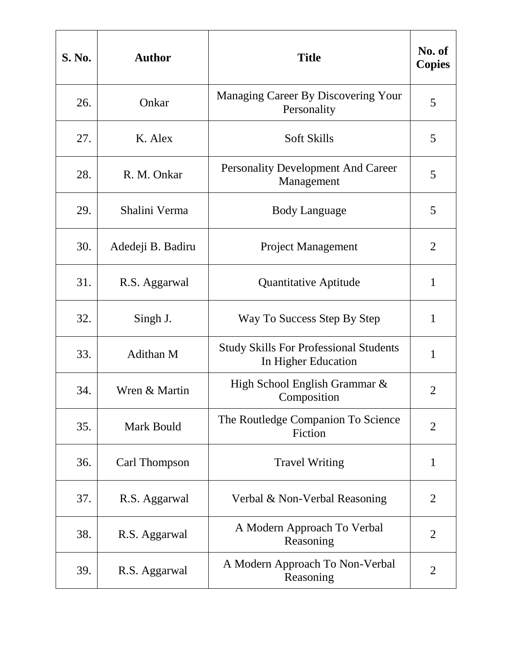| <b>S. No.</b> | <b>Author</b>     | <b>Title</b>                                                         | No. of<br><b>Copies</b> |
|---------------|-------------------|----------------------------------------------------------------------|-------------------------|
| 26.           | Onkar             | Managing Career By Discovering Your<br>Personality                   | 5                       |
| 27.           | K. Alex           | <b>Soft Skills</b>                                                   | 5                       |
| 28.           | R. M. Onkar       | <b>Personality Development And Career</b><br>Management              | 5                       |
| 29.           | Shalini Verma     | <b>Body Language</b>                                                 | 5                       |
| 30.           | Adedeji B. Badiru | <b>Project Management</b>                                            | $\overline{2}$          |
| 31.           | R.S. Aggarwal     | <b>Quantitative Aptitude</b>                                         | $\mathbf{1}$            |
| 32.           | Singh J.          | Way To Success Step By Step                                          | 1                       |
| 33.           | Adithan M         | <b>Study Skills For Professional Students</b><br>In Higher Education | $\mathbf{1}$            |
| 34.           | Wren & Martin     | High School English Grammar &<br>Composition                         | $\overline{2}$          |
| 35.           | Mark Bould        | The Routledge Companion To Science<br>Fiction                        | $\overline{2}$          |
| 36.           | Carl Thompson     | <b>Travel Writing</b>                                                | $\mathbf{1}$            |
| 37.           | R.S. Aggarwal     | Verbal & Non-Verbal Reasoning                                        | $\overline{2}$          |
| 38.           | R.S. Aggarwal     | A Modern Approach To Verbal<br>Reasoning                             | $\overline{2}$          |
| 39.           | R.S. Aggarwal     | A Modern Approach To Non-Verbal<br>Reasoning                         | 2                       |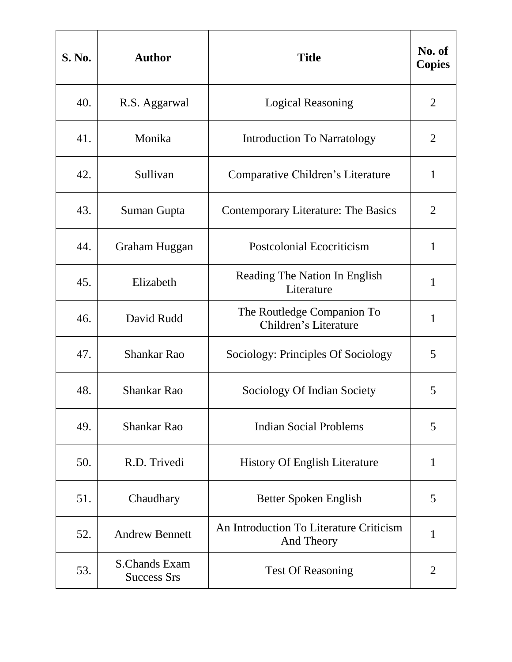| S. No. | <b>Author</b>                              | <b>Title</b>                                          | No. of<br><b>Copies</b> |
|--------|--------------------------------------------|-------------------------------------------------------|-------------------------|
| 40.    | R.S. Aggarwal                              | <b>Logical Reasoning</b>                              | $\overline{2}$          |
| 41.    | Monika                                     | <b>Introduction To Narratology</b>                    | 2                       |
| 42.    | Sullivan                                   | Comparative Children's Literature                     | $\mathbf{1}$            |
| 43.    | Suman Gupta                                | <b>Contemporary Literature: The Basics</b>            | $\overline{2}$          |
| 44.    | Graham Huggan                              | <b>Postcolonial Ecocriticism</b>                      | $\mathbf{1}$            |
| 45.    | Elizabeth                                  | Reading The Nation In English<br>Literature           | $\mathbf{1}$            |
| 46.    | David Rudd                                 | The Routledge Companion To<br>Children's Literature   | 1                       |
| 47.    | <b>Shankar Rao</b>                         | Sociology: Principles Of Sociology                    | 5                       |
| 48.    | <b>Shankar Rao</b>                         | Sociology Of Indian Society                           | 5                       |
| 49.    | <b>Shankar Rao</b>                         | <b>Indian Social Problems</b>                         | 5                       |
| 50.    | R.D. Trivedi                               | <b>History Of English Literature</b>                  | $\mathbf{1}$            |
| 51.    | Chaudhary                                  | Better Spoken English                                 | 5                       |
| 52.    | <b>Andrew Bennett</b>                      | An Introduction To Literature Criticism<br>And Theory | 1                       |
| 53.    | <b>S.Chands Exam</b><br><b>Success Srs</b> | <b>Test Of Reasoning</b>                              | 2                       |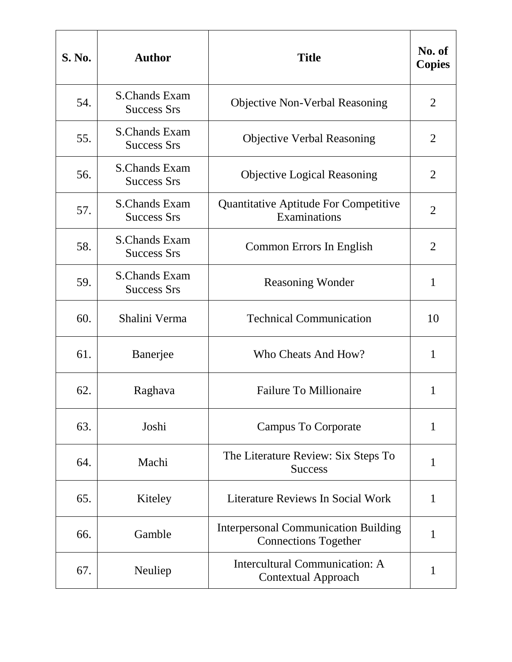| <b>S. No.</b> | <b>Author</b>                              | <b>Title</b>                                                               | No. of<br><b>Copies</b> |
|---------------|--------------------------------------------|----------------------------------------------------------------------------|-------------------------|
| 54.           | <b>S.Chands Exam</b><br><b>Success Srs</b> | <b>Objective Non-Verbal Reasoning</b>                                      | $\overline{2}$          |
| 55.           | <b>S.Chands Exam</b><br><b>Success Srs</b> | <b>Objective Verbal Reasoning</b>                                          | 2                       |
| 56.           | <b>S.Chands Exam</b><br><b>Success Srs</b> | <b>Objective Logical Reasoning</b>                                         | $\overline{2}$          |
| 57.           | <b>S.Chands Exam</b><br><b>Success Srs</b> | Quantitative Aptitude For Competitive<br>Examinations                      | $\overline{2}$          |
| 58.           | <b>S.Chands Exam</b><br><b>Success Srs</b> | Common Errors In English                                                   | $\overline{2}$          |
| 59.           | <b>S.Chands Exam</b><br><b>Success Srs</b> | <b>Reasoning Wonder</b>                                                    | $\mathbf{1}$            |
| 60.           | Shalini Verma                              | <b>Technical Communication</b>                                             | 10                      |
| 61.           | Banerjee                                   | Who Cheats And How?                                                        | $\mathbf{1}$            |
| 62.           | Raghava                                    | <b>Failure To Millionaire</b>                                              | 1                       |
| 63.           | Joshi                                      | <b>Campus To Corporate</b>                                                 | $\mathbf{1}$            |
| 64.           | Machi                                      | The Literature Review: Six Steps To<br><b>Success</b>                      | 1                       |
| 65.           | Kiteley                                    | Literature Reviews In Social Work                                          | $\mathbf{1}$            |
| 66.           | Gamble                                     | <b>Interpersonal Communication Building</b><br><b>Connections Together</b> | 1                       |
| 67.           | Neuliep                                    | Intercultural Communication: A<br><b>Contextual Approach</b>               | 1                       |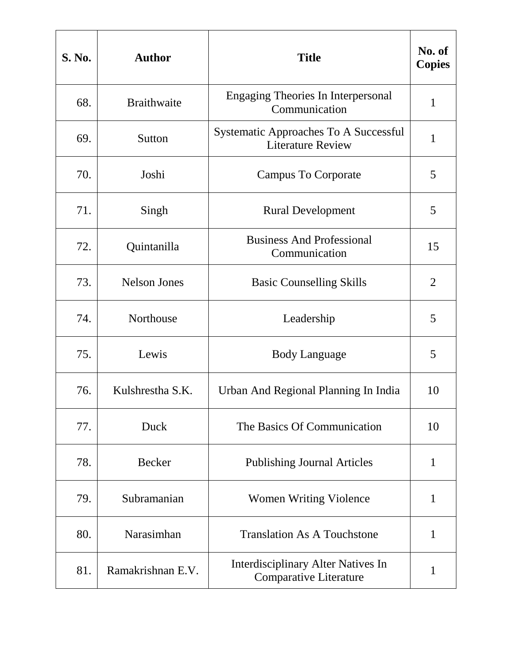| <b>S. No.</b> | <b>Author</b>       | <b>Title</b>                                                               | No. of<br><b>Copies</b> |
|---------------|---------------------|----------------------------------------------------------------------------|-------------------------|
| 68.           | <b>Braithwaite</b>  | <b>Engaging Theories In Interpersonal</b><br>Communication                 | $\mathbf{1}$            |
| 69.           | Sutton              | Systematic Approaches To A Successful<br><b>Literature Review</b>          | 1                       |
| 70.           | Joshi               | <b>Campus To Corporate</b>                                                 | 5                       |
| 71.           | Singh               | <b>Rural Development</b>                                                   | 5                       |
| 72.           | Quintanilla         | <b>Business And Professional</b><br>Communication                          | 15                      |
| 73.           | <b>Nelson Jones</b> | <b>Basic Counselling Skills</b>                                            | $\overline{2}$          |
| 74.           | Northouse           | Leadership                                                                 | 5                       |
| 75.           | Lewis               | <b>Body Language</b>                                                       | 5                       |
| 76.           | Kulshrestha S.K.    | Urban And Regional Planning In India                                       | 10                      |
| 77.           | Duck                | The Basics Of Communication                                                | 10                      |
| 78.           | <b>Becker</b>       | <b>Publishing Journal Articles</b>                                         | $\mathbf{1}$            |
| 79.           | Subramanian         | <b>Women Writing Violence</b>                                              | $\mathbf{1}$            |
| 80.           | Narasimhan          | <b>Translation As A Touchstone</b>                                         | $\mathbf{1}$            |
| 81.           | Ramakrishnan E.V.   | <b>Interdisciplinary Alter Natives In</b><br><b>Comparative Literature</b> | $\mathbf{1}$            |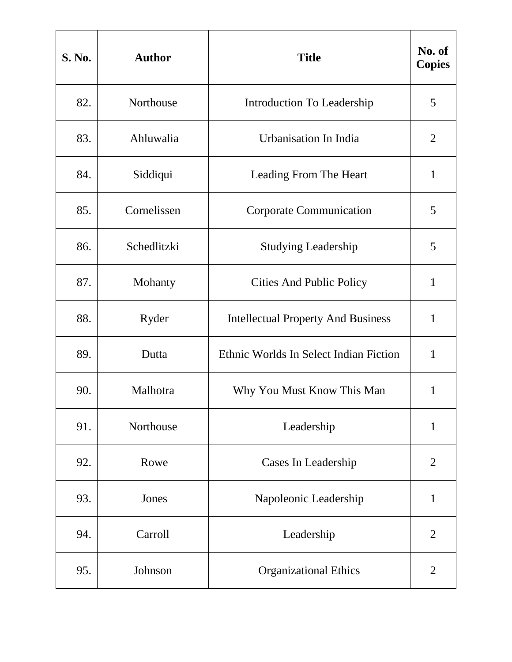| <b>S. No.</b> | <b>Author</b> | <b>Title</b>                              | No. of<br><b>Copies</b> |
|---------------|---------------|-------------------------------------------|-------------------------|
| 82.           | Northouse     | Introduction To Leadership                | 5                       |
| 83.           | Ahluwalia     | Urbanisation In India                     | $\overline{2}$          |
| 84.           | Siddiqui      | Leading From The Heart                    | $\mathbf{1}$            |
| 85.           | Cornelissen   | <b>Corporate Communication</b>            | 5                       |
| 86.           | Schedlitzki   | <b>Studying Leadership</b>                | 5                       |
| 87.           | Mohanty       | <b>Cities And Public Policy</b>           | $\mathbf{1}$            |
| 88.           | Ryder         | <b>Intellectual Property And Business</b> | 1                       |
| 89.           | Dutta         | Ethnic Worlds In Select Indian Fiction    | $\mathbf{1}$            |
| 90.           | Malhotra      | Why You Must Know This Man                | 1                       |
| 91.           | Northouse     | Leadership                                | $\mathbf{1}$            |
| 92.           | Rowe          | Cases In Leadership                       | $\overline{2}$          |
| 93.           | Jones         | Napoleonic Leadership                     | $\mathbf{1}$            |
| 94.           | Carroll       | Leadership                                | $\overline{2}$          |
| 95.           | Johnson       | <b>Organizational Ethics</b>              | $\overline{2}$          |